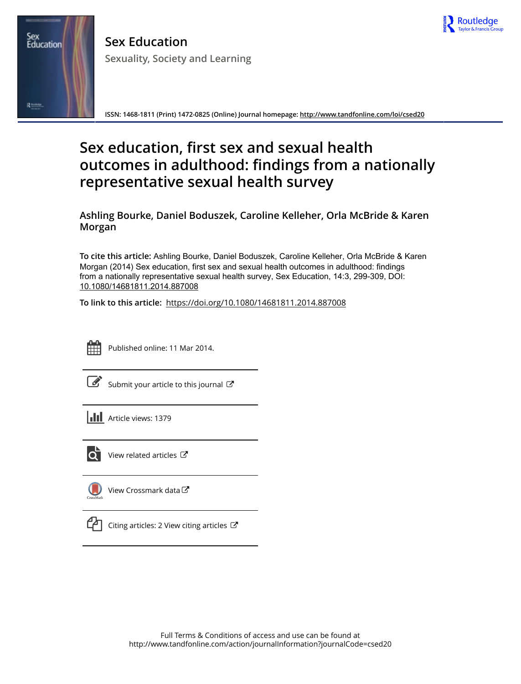

**Sex Education Sexuality, Society and Learning**

**ISSN: 1468-1811 (Print) 1472-0825 (Online) Journal homepage:<http://www.tandfonline.com/loi/csed20>**

# **Sex education, first sex and sexual health outcomes in adulthood: findings from a nationally representative sexual health survey**

**Ashling Bourke, Daniel Boduszek, Caroline Kelleher, Orla McBride & Karen Morgan**

**To cite this article:** Ashling Bourke, Daniel Boduszek, Caroline Kelleher, Orla McBride & Karen Morgan (2014) Sex education, first sex and sexual health outcomes in adulthood: findings from a nationally representative sexual health survey, Sex Education, 14:3, 299-309, DOI: [10.1080/14681811.2014.887008](http://www.tandfonline.com/action/showCitFormats?doi=10.1080/14681811.2014.887008)

**To link to this article:** <https://doi.org/10.1080/14681811.2014.887008>



Sex<br>Education

Rises

Published online: 11 Mar 2014.

[Submit your article to this journal](http://www.tandfonline.com/action/authorSubmission?journalCode=csed20&show=instructions)  $\mathbb{Z}$ 

**III** Article views: 1379



 $\overline{Q}$  [View related articles](http://www.tandfonline.com/doi/mlt/10.1080/14681811.2014.887008)  $\mathbb{Z}$ 

[View Crossmark data](http://crossmark.crossref.org/dialog/?doi=10.1080/14681811.2014.887008&domain=pdf&date_stamp=2014-03-11) $\mathbb{Z}$ 



 $\Box$  [Citing articles: 2 View citing articles](http://www.tandfonline.com/doi/citedby/10.1080/14681811.2014.887008#tabModule)  $\Box$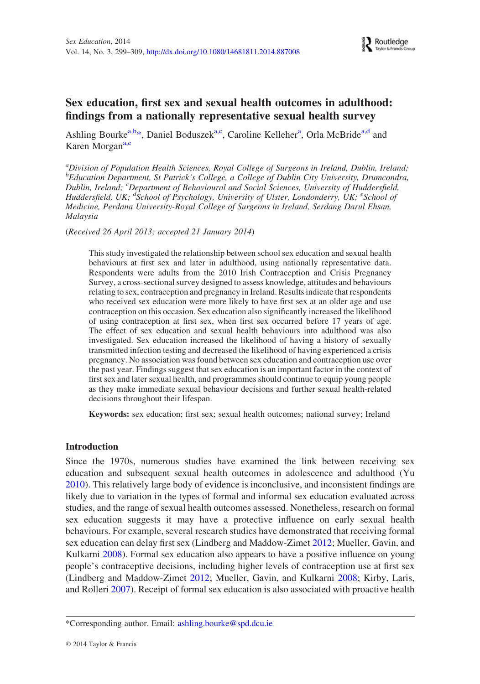# Sex education, first sex and sexual health outcomes in adulthood: findings from a nationally representative sexual health survey

Ashling Bourke<sup>[a,b](#page-1-0)[\\*](#page-1-1)</sup>, Daniel Boduszek<sup>[a,c](#page-1-0)</sup>, C[a](#page-1-0)roline Kelleher<sup>a</sup>, Orla McBride<sup>[a,d](#page-1-0)</sup> and Karen Morgan<sup>[a,e](#page-1-0)</sup>

<span id="page-1-0"></span><sup>a</sup>Division of Population Health Sciences, Royal College of Surgeons in Ireland, Dublin, Ireland; <sup>b</sup>Education Department, St Patrick's College, a College of Dublin City University, Drumcondra, Dublin, Ireland; <sup>c</sup>Department of Behavioural and Social Sciences, University of Huddersfield, Huddersfield, UK; <sup>d</sup>School of Psychology, University of Ulster, Londonderry, UK; <sup>e</sup>School of Medicine, Perdana University-Royal College of Surgeons in Ireland, Serdang Darul Ehsan, Malaysia

(Received 26 April 2013; accepted 21 January 2014)

This study investigated the relationship between school sex education and sexual health behaviours at first sex and later in adulthood, using nationally representative data. Respondents were adults from the 2010 Irish Contraception and Crisis Pregnancy Survey, a cross-sectional survey designed to assess knowledge, attitudes and behaviours relating to sex, contraception and pregnancy in Ireland. Results indicate that respondents who received sex education were more likely to have first sex at an older age and use contraception on this occasion. Sex education also significantly increased the likelihood of using contraception at first sex, when first sex occurred before 17 years of age. The effect of sex education and sexual health behaviours into adulthood was also investigated. Sex education increased the likelihood of having a history of sexually transmitted infection testing and decreased the likelihood of having experienced a crisis pregnancy. No association was found between sex education and contraception use over the past year. Findings suggest that sex education is an important factor in the context of first sex and later sexual health, and programmes should continue to equip young people as they make immediate sexual behaviour decisions and further sexual health-related decisions throughout their lifespan.

Keywords: sex education; first sex; sexual health outcomes; national survey; Ireland

#### Introduction

Since the 1970s, numerous studies have examined the link between receiving sex education and subsequent sexual health outcomes in adolescence and adulthood (Yu [2010](#page-11-0)). This relatively large body of evidence is inconclusive, and inconsistent findings are likely due to variation in the types of formal and informal sex education evaluated across studies, and the range of sexual health outcomes assessed. Nonetheless, research on formal sex education suggests it may have a protective influence on early sexual health behaviours. For example, several research studies have demonstrated that receiving formal sex education can delay first sex (Lindberg and Maddow-Zimet [2012](#page-11-1); Mueller, Gavin, and Kulkarni [2008\)](#page-11-2). Formal sex education also appears to have a positive influence on young people's contraceptive decisions, including higher levels of contraception use at first sex (Lindberg and Maddow-Zimet [2012](#page-11-1); Mueller, Gavin, and Kulkarni [2008](#page-11-2); Kirby, Laris, and Rolleri [2007](#page-11-3)). Receipt of formal sex education is also associated with proactive health

<span id="page-1-1"></span><sup>\*</sup>Corresponding author. Email: [ashling.bourke@spd.dcu.ie](mailto:ashling.bourke@spd.dcu.ie)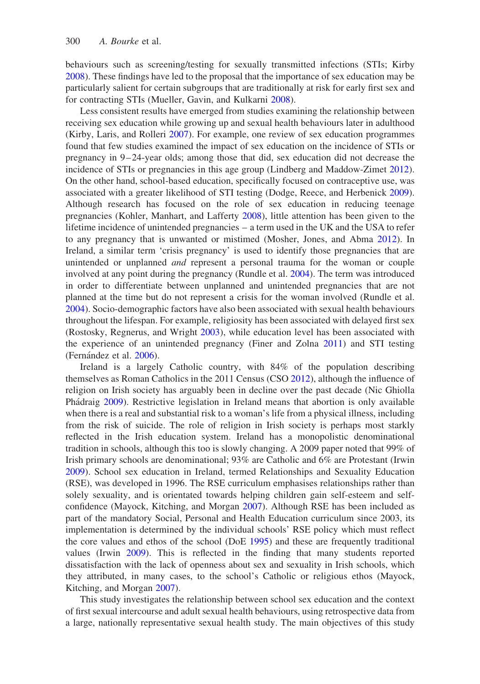behaviours such as screening/testing for sexually transmitted infections (STIs; Kirby [2008](#page-11-4)). These findings have led to the proposal that the importance of sex education may be particularly salient for certain subgroups that are traditionally at risk for early first sex and for contracting STIs (Mueller, Gavin, and Kulkarni [2008](#page-11-2)).

Less consistent results have emerged from studies examining the relationship between receiving sex education while growing up and sexual health behaviours later in adulthood (Kirby, Laris, and Rolleri [2007\)](#page-11-3). For example, one review of sex education programmes found that few studies examined the impact of sex education on the incidence of STIs or pregnancy in  $9-24$ -year olds; among those that did, sex education did not decrease the incidence of STIs or pregnancies in this age group (Lindberg and Maddow-Zimet [2012](#page-11-1)). On the other hand, school-based education, specifically focused on contraceptive use, was associated with a greater likelihood of STI testing (Dodge, Reece, and Herbenick [2009](#page-11-5)). Although research has focused on the role of sex education in reducing teenage pregnancies (Kohler, Manhart, and Lafferty [2008\)](#page-11-6), little attention has been given to the lifetime incidence of unintended pregnancies – a term used in the UK and the USA to refer to any pregnancy that is unwanted or mistimed (Mosher, Jones, and Abma [2012\)](#page-11-7). In Ireland, a similar term 'crisis pregnancy' is used to identify those pregnancies that are unintended or unplanned *and* represent a personal trauma for the woman or couple involved at any point during the pregnancy (Rundle et al. [2004](#page-11-8)). The term was introduced in order to differentiate between unplanned and unintended pregnancies that are not planned at the time but do not represent a crisis for the woman involved (Rundle et al. [2004](#page-11-8)). Socio-demographic factors have also been associated with sexual health behaviours throughout the lifespan. For example, religiosity has been associated with delayed first sex (Rostosky, Regnerus, and Wright [2003\)](#page-11-9), while education level has been associated with the experience of an unintended pregnancy (Finer and Zolna [2011](#page-11-10)) and STI testing (Fernández et al. [2006](#page-11-11)).

Ireland is a largely Catholic country, with 84% of the population describing themselves as Roman Catholics in the 2011 Census (CSO [2012\)](#page-10-0), although the influence of religion on Irish society has arguably been in decline over the past decade (Nic Ghiolla Phádraig [2009\)](#page-11-12). Restrictive legislation in Ireland means that abortion is only available when there is a real and substantial risk to a woman's life from a physical illness, including from the risk of suicide. The role of religion in Irish society is perhaps most starkly reflected in the Irish education system. Ireland has a monopolistic denominational tradition in schools, although this too is slowly changing. A 2009 paper noted that 99% of Irish primary schools are denominational; 93% are Catholic and 6% are Protestant (Irwin [2009](#page-11-13)). School sex education in Ireland, termed Relationships and Sexuality Education (RSE), was developed in 1996. The RSE curriculum emphasises relationships rather than solely sexuality, and is orientated towards helping children gain self-esteem and selfconfidence (Mayock, Kitching, and Morgan [2007](#page-11-14)). Although RSE has been included as part of the mandatory Social, Personal and Health Education curriculum since 2003, its implementation is determined by the individual schools' RSE policy which must reflect the core values and ethos of the school (DoE [1995](#page-10-1)) and these are frequently traditional values (Irwin [2009\)](#page-11-13). This is reflected in the finding that many students reported dissatisfaction with the lack of openness about sex and sexuality in Irish schools, which they attributed, in many cases, to the school's Catholic or religious ethos (Mayock, Kitching, and Morgan [2007\)](#page-11-14).

This study investigates the relationship between school sex education and the context of first sexual intercourse and adult sexual health behaviours, using retrospective data from a large, nationally representative sexual health study. The main objectives of this study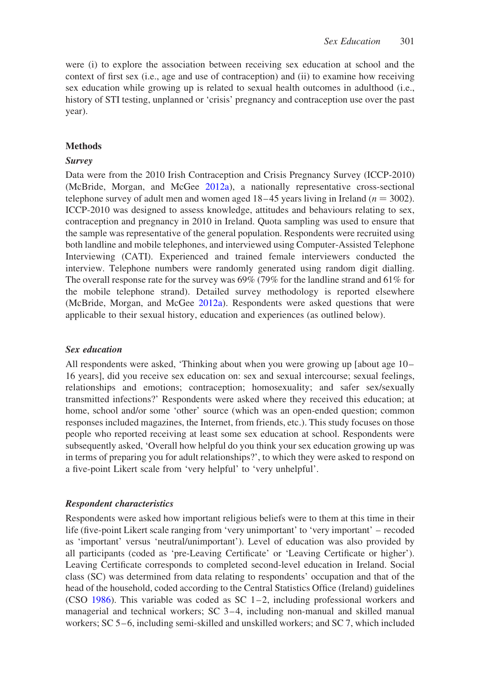were (i) to explore the association between receiving sex education at school and the context of first sex (i.e., age and use of contraception) and (ii) to examine how receiving sex education while growing up is related to sexual health outcomes in adulthood (i.e., history of STI testing, unplanned or 'crisis' pregnancy and contraception use over the past year).

## Methods

#### Survey

Data were from the 2010 Irish Contraception and Crisis Pregnancy Survey (ICCP-2010) (McBride, Morgan, and McGee [2012a](#page-11-15)), a nationally representative cross-sectional telephone survey of adult men and women aged  $18-45$  years living in Ireland ( $n = 3002$ ). ICCP-2010 was designed to assess knowledge, attitudes and behaviours relating to sex, contraception and pregnancy in 2010 in Ireland. Quota sampling was used to ensure that the sample was representative of the general population. Respondents were recruited using both landline and mobile telephones, and interviewed using Computer-Assisted Telephone Interviewing (CATI). Experienced and trained female interviewers conducted the interview. Telephone numbers were randomly generated using random digit dialling. The overall response rate for the survey was 69% (79% for the landline strand and 61% for the mobile telephone strand). Detailed survey methodology is reported elsewhere (McBride, Morgan, and McGee [2012a](#page-11-15)). Respondents were asked questions that were applicable to their sexual history, education and experiences (as outlined below).

### Sex education

All respondents were asked, 'Thinking about when you were growing up [about age 10 – 16 years], did you receive sex education on: sex and sexual intercourse; sexual feelings, relationships and emotions; contraception; homosexuality; and safer sex/sexually transmitted infections?' Respondents were asked where they received this education; at home, school and/or some 'other' source (which was an open-ended question; common responses included magazines, the Internet, from friends, etc.). This study focuses on those people who reported receiving at least some sex education at school. Respondents were subsequently asked, 'Overall how helpful do you think your sex education growing up was in terms of preparing you for adult relationships?', to which they were asked to respond on a five-point Likert scale from 'very helpful' to 'very unhelpful'.

#### Respondent characteristics

Respondents were asked how important religious beliefs were to them at this time in their life (five-point Likert scale ranging from 'very unimportant' to 'very important' – recoded as 'important' versus 'neutral/unimportant'). Level of education was also provided by all participants (coded as 'pre-Leaving Certificate' or 'Leaving Certificate or higher'). Leaving Certificate corresponds to completed second-level education in Ireland. Social class (SC) was determined from data relating to respondents' occupation and that of the head of the household, coded according to the Central Statistics Office (Ireland) guidelines (CSO [1986\)](#page-10-2). This variable was coded as SC 1–2, including professional workers and managerial and technical workers; SC 3 – 4, including non-manual and skilled manual workers;  $SC 5-6$ , including semi-skilled and unskilled workers; and  $SC 7$ , which included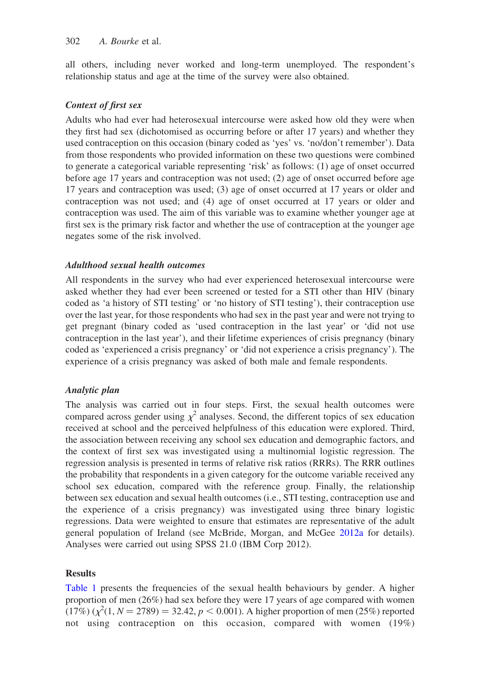all others, including never worked and long-term unemployed. The respondent's relationship status and age at the time of the survey were also obtained.

# Context of first sex

Adults who had ever had heterosexual intercourse were asked how old they were when they first had sex (dichotomised as occurring before or after 17 years) and whether they used contraception on this occasion (binary coded as 'yes' vs. 'no/don't remember'). Data from those respondents who provided information on these two questions were combined to generate a categorical variable representing 'risk' as follows: (1) age of onset occurred before age 17 years and contraception was not used; (2) age of onset occurred before age 17 years and contraception was used; (3) age of onset occurred at 17 years or older and contraception was not used; and (4) age of onset occurred at 17 years or older and contraception was used. The aim of this variable was to examine whether younger age at first sex is the primary risk factor and whether the use of contraception at the younger age negates some of the risk involved.

## Adulthood sexual health outcomes

All respondents in the survey who had ever experienced heterosexual intercourse were asked whether they had ever been screened or tested for a STI other than HIV (binary coded as 'a history of STI testing' or 'no history of STI testing'), their contraception use over the last year, for those respondents who had sex in the past year and were not trying to get pregnant (binary coded as 'used contraception in the last year' or 'did not use contraception in the last year'), and their lifetime experiences of crisis pregnancy (binary coded as 'experienced a crisis pregnancy' or 'did not experience a crisis pregnancy'). The experience of a crisis pregnancy was asked of both male and female respondents.

# Analytic plan

The analysis was carried out in four steps. First, the sexual health outcomes were compared across gender using  $\chi^2$  analyses. Second, the different topics of sex education received at school and the perceived helpfulness of this education were explored. Third, the association between receiving any school sex education and demographic factors, and the context of first sex was investigated using a multinomial logistic regression. The regression analysis is presented in terms of relative risk ratios (RRRs). The RRR outlines the probability that respondents in a given category for the outcome variable received any school sex education, compared with the reference group. Finally, the relationship between sex education and sexual health outcomes (i.e., STI testing, contraception use and the experience of a crisis pregnancy) was investigated using three binary logistic regressions. Data were weighted to ensure that estimates are representative of the adult general population of Ireland (see McBride, Morgan, and McGee [2012a](#page-11-15) for details). Analyses were carried out using SPSS 21.0 (IBM Corp 2012).

# Results

[Table 1](#page-5-0) presents the frequencies of the sexual health behaviours by gender. A higher proportion of men (26%) had sex before they were 17 years of age compared with women  $(17%) (\chi^2(1, N = 2789) = 32.42, p < 0.001)$ . A higher proportion of men (25%) reported not using contraception on this occasion, compared with women (19%)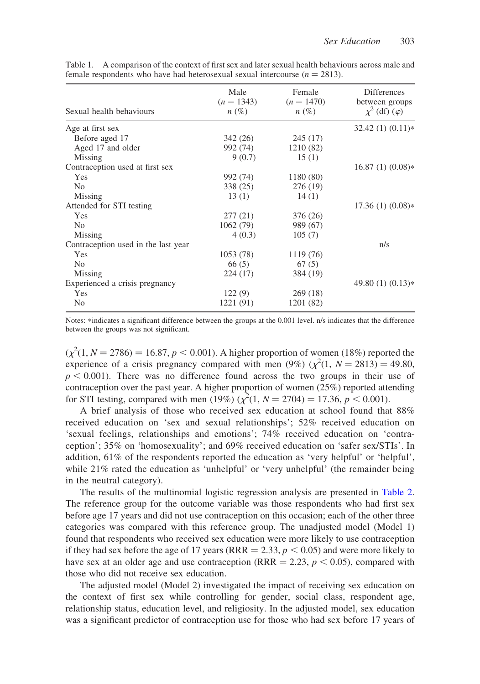| Sexual health behaviours            | Male<br>$(n = 1343)$<br>$n(\%)$ | Female<br>$(n = 1470)$<br>$n(\%)$ | <b>Differences</b><br>between groups<br>$\chi^2$ (df) ( $\varphi$ ) |
|-------------------------------------|---------------------------------|-----------------------------------|---------------------------------------------------------------------|
| Age at first sex                    |                                 |                                   | $32.42(1)(0.11)*$                                                   |
| Before aged 17                      | 342 (26)                        | 245(17)                           |                                                                     |
| Aged 17 and older                   | 992 (74)                        | 1210 (82)                         |                                                                     |
| Missing                             | 9(0.7)                          | 15(1)                             |                                                                     |
| Contraception used at first sex     |                                 |                                   | $16.87(1)(0.08)*$                                                   |
| Yes                                 | 992 (74)                        | 1180 (80)                         |                                                                     |
| N <sub>o</sub>                      | 338 (25)                        | 276 (19)                          |                                                                     |
| Missing                             | 13(1)                           | 14(1)                             |                                                                     |
| Attended for STI testing            |                                 |                                   | $17.36(1)(0.08)*$                                                   |
| Yes                                 | 277(21)                         | 376 (26)                          |                                                                     |
| N <sub>o</sub>                      | 1062 (79)                       | 989 (67)                          |                                                                     |
| Missing                             | 4(0.3)                          | 105(7)                            |                                                                     |
| Contraception used in the last year |                                 |                                   | n/s                                                                 |
| <b>Yes</b>                          | 1053(78)                        | 1119 (76)                         |                                                                     |
| N <sub>0</sub>                      | 66(5)                           | 67(5)                             |                                                                     |
| Missing                             | 224 (17)                        | 384 (19)                          |                                                                     |
| Experienced a crisis pregnancy      |                                 |                                   | 49.80 (1) $(0.13)*$                                                 |
| Yes                                 | 122(9)                          | 269(18)                           |                                                                     |
| N <sub>0</sub>                      | 1221 (91)                       | 1201 (82)                         |                                                                     |

<span id="page-5-0"></span>Table 1. A comparison of the context of first sex and later sexual health behaviours across male and female respondents who have had heterosexual sexual intercourse ( $n = 2813$ ).

Notes: \*indicates a significant difference between the groups at the 0.001 level. n/s indicates that the difference between the groups was not significant.

 $(\chi^2(1, N = 2786) = 16.87, p < 0.001)$ . A higher proportion of women (18%) reported the experience of a crisis pregnancy compared with men (9%)  $(\chi^2(1, N = 2813) = 49.80,$  $p < 0.001$ ). There was no difference found across the two groups in their use of contraception over the past year. A higher proportion of women (25%) reported attending for STI testing, compared with men (19%)  $(\chi^2(1, N = 2704) = 17.36, p < 0.001)$ .

A brief analysis of those who received sex education at school found that 88% received education on 'sex and sexual relationships'; 52% received education on 'sexual feelings, relationships and emotions'; 74% received education on 'contraception'; 35% on 'homosexuality'; and 69% received education on 'safer sex/STIs'. In addition, 61% of the respondents reported the education as 'very helpful' or 'helpful', while 21% rated the education as 'unhelpful' or 'very unhelpful' (the remainder being in the neutral category).

The results of the multinomial logistic regression analysis are presented in [Table 2](#page-6-0). The reference group for the outcome variable was those respondents who had first sex before age 17 years and did not use contraception on this occasion; each of the other three categories was compared with this reference group. The unadjusted model (Model 1) found that respondents who received sex education were more likely to use contraception if they had sex before the age of 17 years (RRR = 2.33,  $p < 0.05$ ) and were more likely to have sex at an older age and use contraception (RRR  $= 2.23$ ,  $p < 0.05$ ), compared with those who did not receive sex education.

The adjusted model (Model 2) investigated the impact of receiving sex education on the context of first sex while controlling for gender, social class, respondent age, relationship status, education level, and religiosity. In the adjusted model, sex education was a significant predictor of contraception use for those who had sex before 17 years of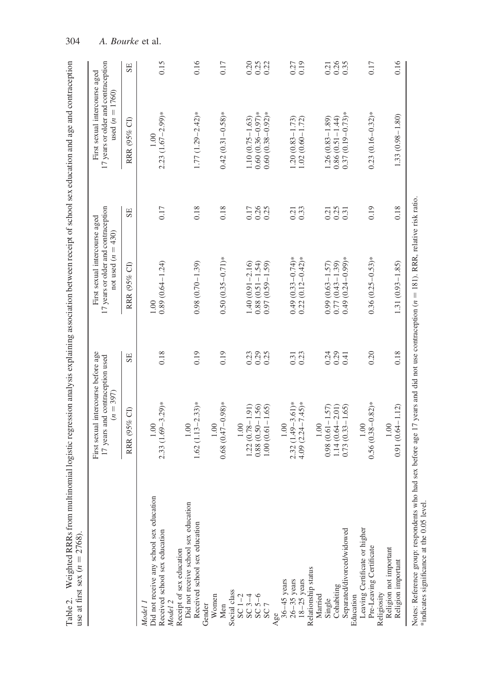<span id="page-6-0"></span>

|                                                                                                             | First sexual intercourse before age<br>17 years and contraception used<br>$(n = 397)$                      |                          | 17 years or older and contraception<br>First sexual intercourse aged<br>not used $(n = 430)$ |                      | 17 years or older and contraception<br>First sexual intercourse aged<br>used $(n = 1760)$ |                          |
|-------------------------------------------------------------------------------------------------------------|------------------------------------------------------------------------------------------------------------|--------------------------|----------------------------------------------------------------------------------------------|----------------------|-------------------------------------------------------------------------------------------|--------------------------|
|                                                                                                             | RRR (95% CI)                                                                                               | SE                       | $\Theta$<br>RRR (95%                                                                         | SE                   | RRR (95% CI)                                                                              | SE                       |
| Did not receive any school sex education<br>Received school sex education<br>Model 2<br>Model 1             | $2.33(1.69 - 3.29)*$<br>1.00                                                                               | 0.18                     | $0.89(0.64 - 1.24)$<br>1.00                                                                  | 0.17                 | $2.23$ $(1.67 - 2.99)$ *<br>1.00                                                          | 0.15                     |
| Did not receive school sex education<br>Received school sex education<br>Receipt of sex education<br>Gender | $1.62$ (1.13 – 2.33)*<br>1.00                                                                              | 0.19                     | $0.98(0.70 - 1.39)$                                                                          | 0.18                 | $1.77(1.29 - 2.42)*$                                                                      | 0.16                     |
| Women<br>Men                                                                                                | $0.68(0.47 - 0.98)*$<br>1.00                                                                               | 0.19                     | $0.50(0.35 - 0.71)*$                                                                         | 0.18                 | $0.42(0.31 - 0.58)*$                                                                      | 0.17                     |
| Social class<br>$SC1-2$<br>$SC3-4$<br>$SC5-6$<br>SC <sub>7</sub>                                            | $1.22(0.78 - 1.91)$<br>$0.88(0.50 - 1.56)$<br>$1.00(0.61 - 1.65)$<br>1.00                                  | $0.29$<br>$0.25$<br>0.23 | $1.40(0.91 - 2.16)$<br>$0.88(0.51 - 1.54)$<br>$(0.59 - 1.59)$<br>0.97                        | 0.26<br>0.25<br>0.17 | $0.60(0.36 - 0.97)*$<br>$0.60(0.38 - 0.92)*$<br>$1.10(0.75 - 1.63)$                       | $0.25$<br>$0.22$<br>0.20 |
| Relationship status<br>$36-45$ years<br>26-35 years<br>18-25 years<br>Age                                   | $2.32(1.49 - 3.61)*$<br>$4.09(2.24 - 7.45)*$<br>$1.00\,$                                                   | $\frac{0.31}{0.23}$      | $(0.12 - 0.42)$ *<br>$0.49(0.33 - 0.74)$ *<br>0.22                                           | 0.33<br>0.21         | $1.20(0.83 - 1.73)$<br>$1.02(0.60 - 1.72)$                                                | 0.19<br>0.27             |
| Separated/divorced/widowed<br>Cohabiting<br>Education<br>Married<br>Single                                  | $\begin{array}{c} 1.14 \ (0.64 - 2.01) \\ 0.73 \ (0.33 - 1.65) \end{array}$<br>$0.98(0.61 - 1.57)$<br>1.00 | $0.29$<br>$0.41$<br>0.24 | $(0.24 - 0.99)*$<br>$0.77(0.43 - 1.39)$<br>$0.99(0.63 - 1.57)$<br>0.49                       | 0.25<br>0.21<br>0.31 | $0.37(0.19 - 0.73)*$<br>$0.86(0.51 - 1.44)$<br>$1.26(0.83 - 1.89)$                        | 0.26<br>0.35<br>0.21     |
| Leaving Certificate or higher<br>Pre-Leaving Certificate                                                    | $0.56(0.38 - 0.82)$ *<br>1.00                                                                              | 0.20                     | $0.36(0.25-0.53)*$                                                                           | 0.19                 | $0.23(0.16 - 0.32)*$                                                                      | 0.17                     |
| Religion not important<br>Religion important<br>Religiosity                                                 | $0.91(0.64 - 1.12)$<br>1.00                                                                                | 0.18                     | $1.31(0.93 - 1.85)$                                                                          | 0.18                 | $1.33(0.98 - 1.80)$                                                                       | 0.16                     |

304 A. Bourke et al.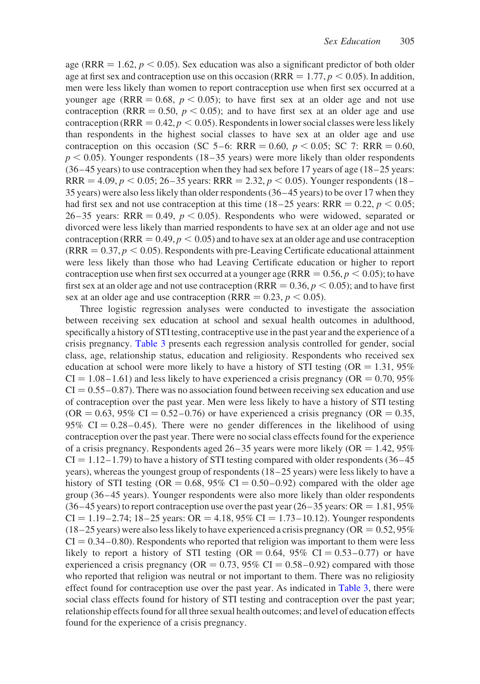age (RRR  $= 1.62$ ,  $p < 0.05$ ). Sex education was also a significant predictor of both older age at first sex and contraception use on this occasion (RRR  $= 1.77, p \le 0.05$ ). In addition, men were less likely than women to report contraception use when first sex occurred at a younger age (RRR  $= 0.68$ ,  $p < 0.05$ ); to have first sex at an older age and not use contraception (RRR = 0.50,  $p < 0.05$ ); and to have first sex at an older age and use contraception (RRR  $= 0.42, p < 0.05$ ). Respondents in lower social classes were less likely than respondents in the highest social classes to have sex at an older age and use contraception on this occasion (SC 5–6: RRR = 0.60,  $p < 0.05$ ; SC 7: RRR = 0.60,  $p < 0.05$ ). Younger respondents (18–35 years) were more likely than older respondents  $(36-45 \text{ years})$  to use contraception when they had sex before 17 years of age (18–25 years: RRR = 4.09,  $p < 0.05$ ; 26–35 years: RRR = 2.32,  $p < 0.05$ ). Younger respondents (18– 35 years) were also less likely than older respondents (36 –45 years) to be over 17 when they had first sex and not use contraception at this time (18–25 years: RRR = 0.22,  $p < 0.05$ ; 26 – 35 years: RRR = 0.49,  $p < 0.05$ ). Respondents who were widowed, separated or divorced were less likely than married respondents to have sex at an older age and not use contraception (RRR  $= 0.49, p < 0.05$ ) and to have sex at an older age and use contraception  $(RRR = 0.37, p < 0.05)$ . Respondents with pre-Leaving Certificate educational attainment were less likely than those who had Leaving Certificate education or higher to report contraception use when first sex occurred at a younger age (RRR =  $0.56, p \le 0.05$ ); to have first sex at an older age and not use contraception (RRR =  $0.36, p \lt 0.05$ ); and to have first sex at an older age and use contraception (RRR =  $0.23$ ,  $p < 0.05$ ).

Three logistic regression analyses were conducted to investigate the association between receiving sex education at school and sexual health outcomes in adulthood, specifically a history of STI testing, contraceptive use in the past year and the experience of a crisis pregnancy. [Table 3](#page-8-0) presents each regression analysis controlled for gender, social class, age, relationship status, education and religiosity. Respondents who received sex education at school were more likely to have a history of STI testing (OR  $= 1.31, 95\%$  $CI = 1.08 - 1.61$ ) and less likely to have experienced a crisis pregnancy (OR = 0.70, 95%)  $CI = 0.55 - 0.87$ . There was no association found between receiving sex education and use of contraception over the past year. Men were less likely to have a history of STI testing  $(OR = 0.63, 95\% \text{ CI} = 0.52 - 0.76)$  or have experienced a crisis pregnancy  $(OR = 0.35,$ 95% CI = 0.28 – 0.45). There were no gender differences in the likelihood of using contraception over the past year. There were no social class effects found for the experience of a crisis pregnancy. Respondents aged  $26-35$  years were more likely (OR = 1.42, 95%)  $CI = 1.12 - 1.79$ ) to have a history of STI testing compared with older respondents (36–45) years), whereas the youngest group of respondents (18 – 25 years) were less likely to have a history of STI testing (OR =  $0.68$ , 95% CI =  $0.50-0.92$ ) compared with the older age group (36 –45 years). Younger respondents were also more likely than older respondents  $(36-45 \text{ years})$  to report contraception use over the past year  $(26-35 \text{ years})$  OR = 1.81, 95%  $CI = 1.19 - 2.74$ ;  $18 - 25$  years:  $OR = 4.18$ ,  $95\% CI = 1.73 - 10.12$ ). Younger respondents  $(18-25)$  years) were also less likely to have experienced a crisis pregnancy (OR = 0.52, 95%)  $CI = 0.34 - 0.80$ . Respondents who reported that religion was important to them were less likely to report a history of STI testing (OR =  $0.64$ ,  $95\%$  CI =  $0.53 - 0.77$ ) or have experienced a crisis pregnancy (OR =  $0.73$ ,  $95\%$  CI =  $0.58 - 0.92$ ) compared with those who reported that religion was neutral or not important to them. There was no religiosity effect found for contraception use over the past year. As indicated in [Table 3](#page-8-0), there were social class effects found for history of STI testing and contraception over the past year; relationship effects found for all three sexual health outcomes; and level of education effects found for the experience of a crisis pregnancy.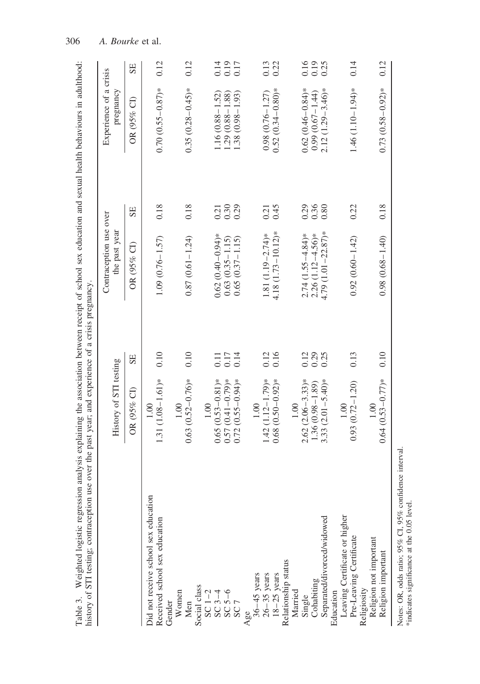<span id="page-8-0"></span>

| Weighted logistic regression analysis explaining the association between receipt of school sex education and sexual health behaviours in adulthood:<br>history of STI testing; contraception use over the past year; and experience of a crisis pregnancy |                                                                                    |                      |                                                                          |                      |                                                                    |                      |
|-----------------------------------------------------------------------------------------------------------------------------------------------------------------------------------------------------------------------------------------------------------|------------------------------------------------------------------------------------|----------------------|--------------------------------------------------------------------------|----------------------|--------------------------------------------------------------------|----------------------|
|                                                                                                                                                                                                                                                           | History of STI testing                                                             |                      | Contraception use over<br>the past year                                  |                      | Experience of a crisis<br>pregnancy                                |                      |
|                                                                                                                                                                                                                                                           | OR (95% CI)                                                                        | SE                   | OR (95% CI)                                                              | SE                   | OR (95% CI)                                                        | SE                   |
| Did not receive school sex education<br>Received school sex education                                                                                                                                                                                     | 1.31 $(1.08 - 1.61)*$<br>1.00                                                      | 0.10                 | $1.09(0.76 - 1.57)$                                                      | 0.18                 | $0.70(0.55 - 0.87)*$                                               | 0.12                 |
| Women<br>Gender<br>Men                                                                                                                                                                                                                                    | $0.63(0.52 - 0.76)*$<br>1.00                                                       | 0.10                 | $0.87(0.61 - 1.24)$                                                      | 0.18                 | $0.35(0.28 - 0.45)*$                                               | 0.12                 |
| Social class<br>SC 1-2<br>SC 3-4<br>SC 5-6<br>SC 7                                                                                                                                                                                                        | $0.65(0.53 - 0.81)*$<br>$0.57(0.41 - 0.79)$ *<br>$(0.55 - 0.94)$ *<br>1.00<br>0.72 | 0.17<br>0.14<br>0.11 | $0.62(0.40-0.94)$ *<br>$0.65(0.37 - 1.15)$<br>$0.63(0.35 - 1.15)$        | 0.30<br>0.29<br>0.21 | $1.16(0.88 - 1.52)$<br>$1.29(0.88 - 1.88)$<br>1.38 (0.98 – 1.93)   | 0.19<br>0.14<br>0.17 |
| Relationship status<br>Age<br>$36-45$ years<br>$26-35$ years<br>$18-25$ years                                                                                                                                                                             | $1.42(1.12 - 1.79)*$<br>$0.68(0.50 - 0.92)$ *<br>$1.00\,$                          | 0.16<br>0.12         | $4.18(1.73 - 10.12)*$<br>1.81 $(1.19 - 2.74)$ *                          | 0.45<br>0.21         | $0.52(0.34 - 0.80)$ *<br>$0.98(0.76 - 1.27)$                       | 0.13<br>0.22         |
| Separated/divorced/widowed<br>Cohabiting<br>Married<br>Single                                                                                                                                                                                             | $2.62(2.06-3.33)*$<br>3.33 $(2.01 - 5.40)*$<br>$1.36(0.98 - 1.89)$<br>1.00         | 0.29<br>0.12<br>0.25 | $4.79$ (1.01 – 22.87)*<br>$2.74(1.55 - 4.84)$ *<br>$2.26(1.12 - 4.56)$ * | 0.36<br>0.29<br>0.80 | $0.62(0.46 - 0.84)$ *<br>$2.12(1.29-3.46)*$<br>$0.99(0.67 - 1.44)$ | 0.16<br>0.19<br>0.25 |
| Leaving Certificate or higher<br>Pre-Leaving Certificate<br>Education                                                                                                                                                                                     | $0.93(0.72 - 1.20)$<br>1.00                                                        | 0.13                 | $0.92(0.60 - 1.42)$                                                      | 0.22                 | $1.46(1.10-1.94)*$                                                 | 0.14                 |
| Religion not important<br>Religion important<br>Religiosity                                                                                                                                                                                               | $0.64(0.53 - 0.77)*$<br>1.00                                                       | 0.10                 | $0.98(0.68 - 1.40)$                                                      | 0.18                 | $0.73(0.58 - 0.92)*$                                               | 0.12                 |
| ミレコ<br>Č<br><b>NT-4-</b>                                                                                                                                                                                                                                  |                                                                                    |                      |                                                                          |                      |                                                                    |                      |

306 A. Bourke et al.

Notes: OR, odds ratio; 95% CI, 95% confidence interval.<br>\*indicates significance at the 0.05 level. Notes: OR, odds ratio; 95% CI, 95% confidence interval. \*indicates significance at the 0.05 level.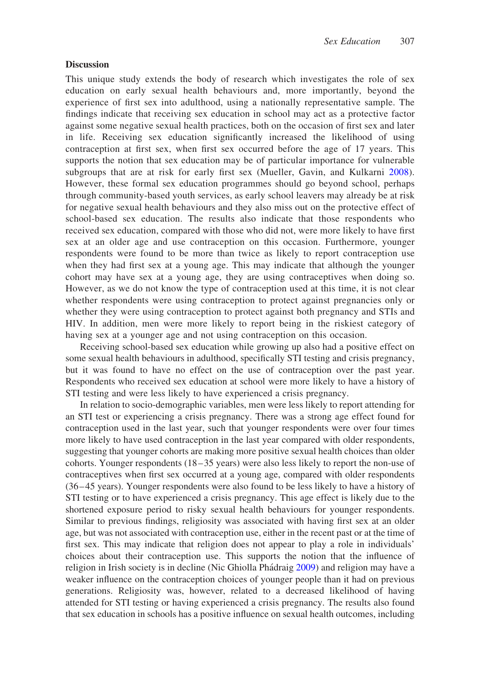## **Discussion**

This unique study extends the body of research which investigates the role of sex education on early sexual health behaviours and, more importantly, beyond the experience of first sex into adulthood, using a nationally representative sample. The findings indicate that receiving sex education in school may act as a protective factor against some negative sexual health practices, both on the occasion of first sex and later in life. Receiving sex education significantly increased the likelihood of using contraception at first sex, when first sex occurred before the age of 17 years. This supports the notion that sex education may be of particular importance for vulnerable subgroups that are at risk for early first sex (Mueller, Gavin, and Kulkarni [2008](#page-11-2)). However, these formal sex education programmes should go beyond school, perhaps through community-based youth services, as early school leavers may already be at risk for negative sexual health behaviours and they also miss out on the protective effect of school-based sex education. The results also indicate that those respondents who received sex education, compared with those who did not, were more likely to have first sex at an older age and use contraception on this occasion. Furthermore, younger respondents were found to be more than twice as likely to report contraception use when they had first sex at a young age. This may indicate that although the younger cohort may have sex at a young age, they are using contraceptives when doing so. However, as we do not know the type of contraception used at this time, it is not clear whether respondents were using contraception to protect against pregnancies only or whether they were using contraception to protect against both pregnancy and STIs and HIV. In addition, men were more likely to report being in the riskiest category of having sex at a younger age and not using contraception on this occasion.

Receiving school-based sex education while growing up also had a positive effect on some sexual health behaviours in adulthood, specifically STI testing and crisis pregnancy, but it was found to have no effect on the use of contraception over the past year. Respondents who received sex education at school were more likely to have a history of STI testing and were less likely to have experienced a crisis pregnancy.

In relation to socio-demographic variables, men were less likely to report attending for an STI test or experiencing a crisis pregnancy. There was a strong age effect found for contraception used in the last year, such that younger respondents were over four times more likely to have used contraception in the last year compared with older respondents, suggesting that younger cohorts are making more positive sexual health choices than older cohorts. Younger respondents (18 –35 years) were also less likely to report the non-use of contraceptives when first sex occurred at a young age, compared with older respondents (36 – 45 years). Younger respondents were also found to be less likely to have a history of STI testing or to have experienced a crisis pregnancy. This age effect is likely due to the shortened exposure period to risky sexual health behaviours for younger respondents. Similar to previous findings, religiosity was associated with having first sex at an older age, but was not associated with contraception use, either in the recent past or at the time of first sex. This may indicate that religion does not appear to play a role in individuals' choices about their contraception use. This supports the notion that the influence of religion in Irish society is in decline (Nic Ghiolla Phádraig [2009](#page-11-12)) and religion may have a weaker influence on the contraception choices of younger people than it had on previous generations. Religiosity was, however, related to a decreased likelihood of having attended for STI testing or having experienced a crisis pregnancy. The results also found that sex education in schools has a positive influence on sexual health outcomes, including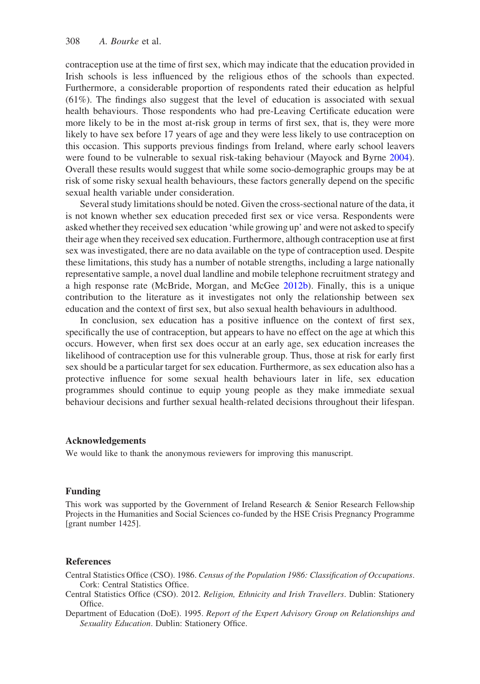contraception use at the time of first sex, which may indicate that the education provided in Irish schools is less influenced by the religious ethos of the schools than expected. Furthermore, a considerable proportion of respondents rated their education as helpful (61%). The findings also suggest that the level of education is associated with sexual health behaviours. Those respondents who had pre-Leaving Certificate education were more likely to be in the most at-risk group in terms of first sex, that is, they were more likely to have sex before 17 years of age and they were less likely to use contraception on this occasion. This supports previous findings from Ireland, where early school leavers were found to be vulnerable to sexual risk-taking behaviour (Mayock and Byrne [2004](#page-11-16)). Overall these results would suggest that while some socio-demographic groups may be at risk of some risky sexual health behaviours, these factors generally depend on the specific sexual health variable under consideration.

Several study limitations should be noted. Given the cross-sectional nature of the data, it is not known whether sex education preceded first sex or vice versa. Respondents were asked whether they received sex education 'while growing up' and were not asked to specify their age when they received sex education. Furthermore, although contraception use at first sex was investigated, there are no data available on the type of contraception used. Despite these limitations, this study has a number of notable strengths, including a large nationally representative sample, a novel dual landline and mobile telephone recruitment strategy and a high response rate (McBride, Morgan, and McGee [2012b](#page-11-17)). Finally, this is a unique contribution to the literature as it investigates not only the relationship between sex education and the context of first sex, but also sexual health behaviours in adulthood.

In conclusion, sex education has a positive influence on the context of first sex, specifically the use of contraception, but appears to have no effect on the age at which this occurs. However, when first sex does occur at an early age, sex education increases the likelihood of contraception use for this vulnerable group. Thus, those at risk for early first sex should be a particular target for sex education. Furthermore, as sex education also has a protective influence for some sexual health behaviours later in life, sex education programmes should continue to equip young people as they make immediate sexual behaviour decisions and further sexual health-related decisions throughout their lifespan.

## Acknowledgements

We would like to thank the anonymous reviewers for improving this manuscript.

#### Funding

This work was supported by the Government of Ireland Research & Senior Research Fellowship Projects in the Humanities and Social Sciences co-funded by the HSE Crisis Pregnancy Programme [grant number 1425].

#### <span id="page-10-2"></span><span id="page-10-0"></span>**References**

- <span id="page-10-1"></span>Central Statistics Office (CSO). 1986. Census of the Population 1986: Classification of Occupations. Cork: Central Statistics Office.
- Central Statistics Office (CSO). 2012. Religion, Ethnicity and Irish Travellers. Dublin: Stationery Office.
- Department of Education (DoE). 1995. Report of the Expert Advisory Group on Relationships and Sexuality Education. Dublin: Stationery Office.